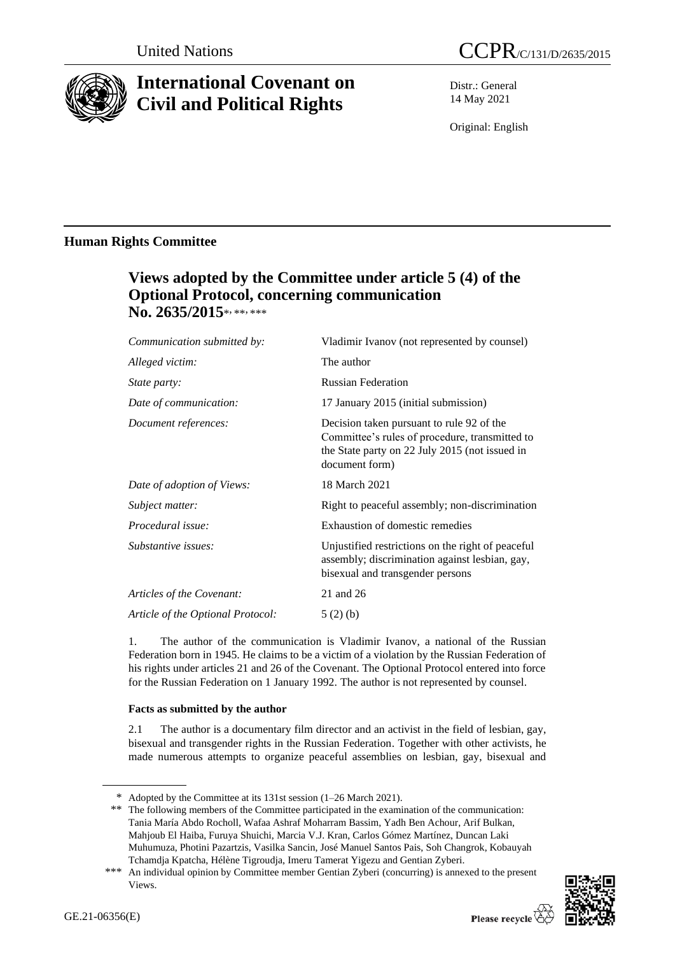

# **International Covenant on Civil and Political Rights**

Distr.: General 14 May 2021

Original: English

## **Human Rights Committee**

## **Views adopted by the Committee under article 5 (4) of the Optional Protocol, concerning communication**  No. 2635/2015\*,\*\*,\*\*\*

| Communication submitted by:       | Vladimir Ivanov (not represented by counsel)                                                                                                                    |
|-----------------------------------|-----------------------------------------------------------------------------------------------------------------------------------------------------------------|
| Alleged victim:                   | The author                                                                                                                                                      |
| <i>State party:</i>               | <b>Russian Federation</b>                                                                                                                                       |
| Date of communication:            | 17 January 2015 (initial submission)                                                                                                                            |
| Document references:              | Decision taken pursuant to rule 92 of the<br>Committee's rules of procedure, transmitted to<br>the State party on 22 July 2015 (not issued in<br>document form) |
| Date of adoption of Views:        | 18 March 2021                                                                                                                                                   |
| Subject matter:                   | Right to peaceful assembly; non-discrimination                                                                                                                  |
| Procedural issue:                 | Exhaustion of domestic remedies                                                                                                                                 |
| Substantive issues:               | Unjustified restrictions on the right of peaceful<br>assembly; discrimination against lesbian, gay,<br>bisexual and transgender persons                         |
| Articles of the Covenant:         | 21 and 26                                                                                                                                                       |
| Article of the Optional Protocol: | 5(2)(b)                                                                                                                                                         |

1. The author of the communication is Vladimir Ivanov, a national of the Russian Federation born in 1945. He claims to be a victim of a violation by the Russian Federation of his rights under articles 21 and 26 of the Covenant. The Optional Protocol entered into force for the Russian Federation on 1 January 1992. The author is not represented by counsel.

### **Facts as submitted by the author**

2.1 The author is a documentary film director and an activist in the field of lesbian, gay, bisexual and transgender rights in the Russian Federation. Together with other activists, he made numerous attempts to organize peaceful assemblies on lesbian, gay, bisexual and

<sup>\*\*\*</sup> An individual opinion by Committee member Gentian Zyberi (concurring) is annexed to the present Views.



<sup>\*</sup> Adopted by the Committee at its 131st session (1–26 March 2021).

<sup>\*\*</sup> The following members of the Committee participated in the examination of the communication: Tania María Abdo Rocholl, Wafaa Ashraf Moharram Bassim, Yadh Ben Achour, Arif Bulkan, Mahjoub El Haiba, Furuya Shuichi, Marcia V.J. Kran, Carlos Gómez Martínez, Duncan Laki Muhumuza, Photini Pazartzis, Vasilka Sancin, José Manuel Santos Pais, Soh Changrok, Kobauyah Tchamdja Kpatcha, Hélène Tigroudja, Imeru Tamerat Yigezu and Gentian Zyberi.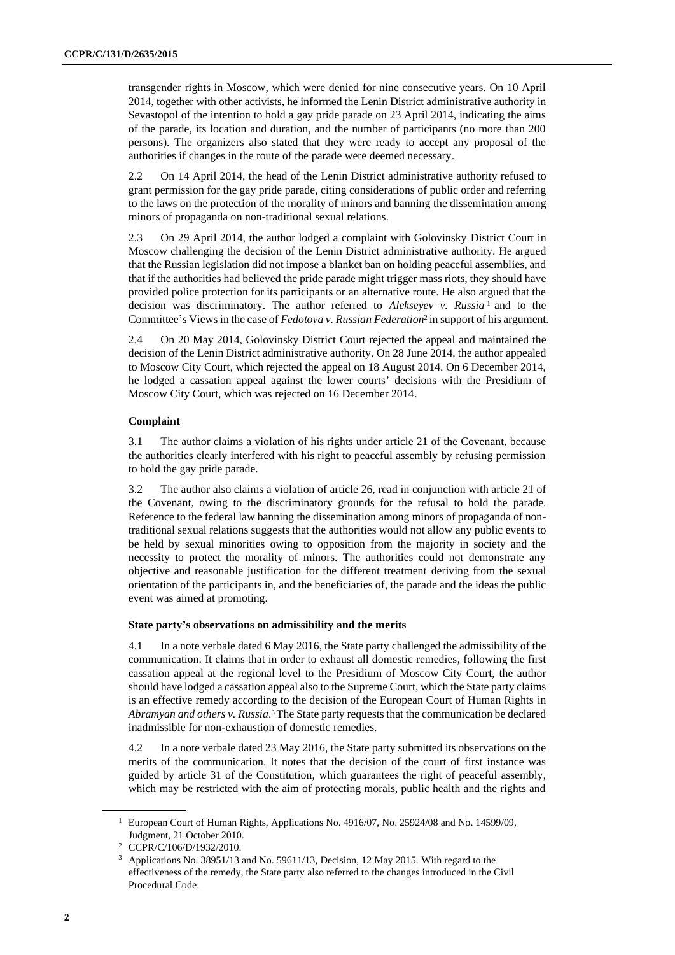transgender rights in Moscow, which were denied for nine consecutive years. On 10 April 2014, together with other activists, he informed the Lenin District administrative authority in Sevastopol of the intention to hold a gay pride parade on 23 April 2014, indicating the aims of the parade, its location and duration, and the number of participants (no more than 200 persons). The organizers also stated that they were ready to accept any proposal of the authorities if changes in the route of the parade were deemed necessary.

2.2 On 14 April 2014, the head of the Lenin District administrative authority refused to grant permission for the gay pride parade, citing considerations of public order and referring to the laws on the protection of the morality of minors and banning the dissemination among minors of propaganda on non-traditional sexual relations.

2.3 On 29 April 2014, the author lodged a complaint with Golovinsky District Court in Moscow challenging the decision of the Lenin District administrative authority. He argued that the Russian legislation did not impose a blanket ban on holding peaceful assemblies, and that if the authorities had believed the pride parade might trigger mass riots, they should have provided police protection for its participants or an alternative route. He also argued that the decision was discriminatory. The author referred to *Alekseyev v. Russia* <sup>1</sup> and to the Committee's Views in the case of *Fedotova v. Russian Federation*<sup>2</sup> in support of his argument.

2.4 On 20 May 2014, Golovinsky District Court rejected the appeal and maintained the decision of the Lenin District administrative authority. On 28 June 2014, the author appealed to Moscow City Court, which rejected the appeal on 18 August 2014. On 6 December 2014, he lodged a cassation appeal against the lower courts' decisions with the Presidium of Moscow City Court, which was rejected on 16 December 2014.

### **Complaint**

3.1 The author claims a violation of his rights under article 21 of the Covenant, because the authorities clearly interfered with his right to peaceful assembly by refusing permission to hold the gay pride parade.

3.2 The author also claims a violation of article 26, read in conjunction with article 21 of the Covenant, owing to the discriminatory grounds for the refusal to hold the parade. Reference to the federal law banning the dissemination among minors of propaganda of nontraditional sexual relations suggests that the authorities would not allow any public events to be held by sexual minorities owing to opposition from the majority in society and the necessity to protect the morality of minors. The authorities could not demonstrate any objective and reasonable justification for the different treatment deriving from the sexual orientation of the participants in, and the beneficiaries of, the parade and the ideas the public event was aimed at promoting.

### **State party's observations on admissibility and the merits**

4.1 In a note verbale dated 6 May 2016, the State party challenged the admissibility of the communication. It claims that in order to exhaust all domestic remedies, following the first cassation appeal at the regional level to the Presidium of Moscow City Court, the author should have lodged a cassation appeal also to the Supreme Court, which the State party claims is an effective remedy according to the decision of the European Court of Human Rights in *Abramyan and others v. Russia*. <sup>3</sup> The State party requests that the communication be declared inadmissible for non-exhaustion of domestic remedies.

4.2 In a note verbale dated 23 May 2016, the State party submitted its observations on the merits of the communication. It notes that the decision of the court of first instance was guided by article 31 of the Constitution, which guarantees the right of peaceful assembly, which may be restricted with the aim of protecting morals, public health and the rights and

<sup>&</sup>lt;sup>1</sup> European Court of Human Rights, Applications No. 4916/07, No. 25924/08 and No. 14599/09, Judgment, 21 October 2010.

<sup>2</sup> CCPR/C/106/D/1932/2010.

<sup>3</sup> Applications No. 38951/13 and No. 59611/13, Decision, 12 May 2015. With regard to the effectiveness of the remedy, the State party also referred to the changes introduced in the Civil Procedural Code.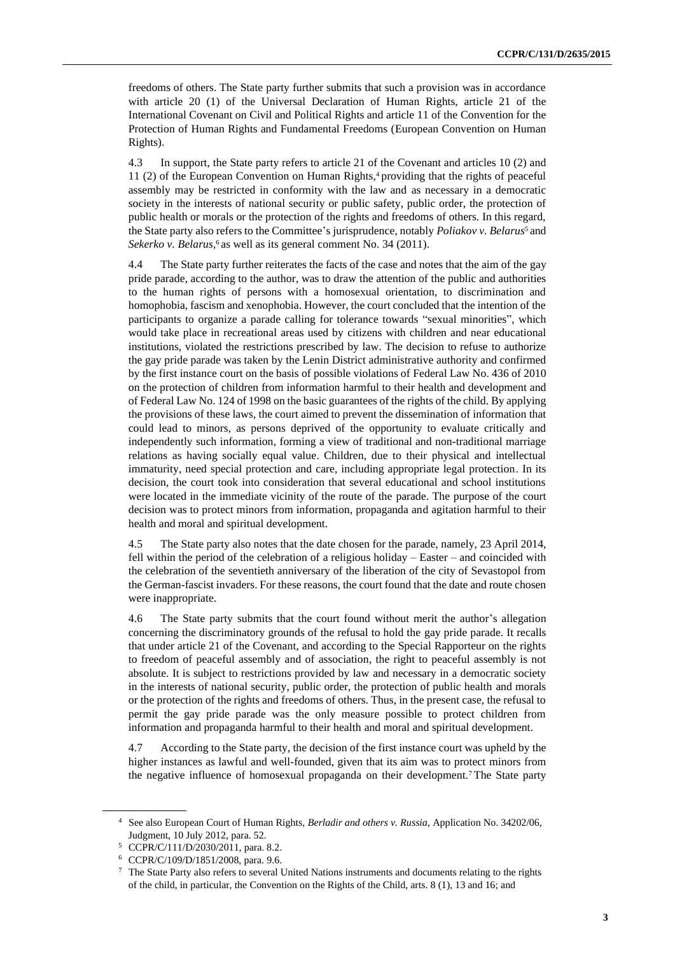freedoms of others. The State party further submits that such a provision was in accordance with article 20 (1) of the Universal Declaration of Human Rights, article 21 of the International Covenant on Civil and Political Rights and article 11 of the Convention for the Protection of Human Rights and Fundamental Freedoms (European Convention on Human Rights).

4.3 In support, the State party refers to article 21 of the Covenant and articles 10 (2) and 11 (2) of the European Convention on Human Rights, <sup>4</sup> providing that the rights of peaceful assembly may be restricted in conformity with the law and as necessary in a democratic society in the interests of national security or public safety, public order, the protection of public health or morals or the protection of the rights and freedoms of others. In this regard, the State party also refers to the Committee's jurisprudence, notably *Poliakov v. Belarus*<sup>5</sup> and Sekerko v. Belarus,<sup>6</sup> as well as its general comment No. 34 (2011).

4.4 The State party further reiterates the facts of the case and notes that the aim of the gay pride parade, according to the author, was to draw the attention of the public and authorities to the human rights of persons with a homosexual orientation, to discrimination and homophobia, fascism and xenophobia. However, the court concluded that the intention of the participants to organize a parade calling for tolerance towards "sexual minorities", which would take place in recreational areas used by citizens with children and near educational institutions, violated the restrictions prescribed by law. The decision to refuse to authorize the gay pride parade was taken by the Lenin District administrative authority and confirmed by the first instance court on the basis of possible violations of Federal Law No. 436 of 2010 on the protection of children from information harmful to their health and development and of Federal Law No. 124 of 1998 on the basic guarantees of the rights of the child. By applying the provisions of these laws, the court aimed to prevent the dissemination of information that could lead to minors, as persons deprived of the opportunity to evaluate critically and independently such information, forming a view of traditional and non-traditional marriage relations as having socially equal value. Children, due to their physical and intellectual immaturity, need special protection and care, including appropriate legal protection. In its decision, the court took into consideration that several educational and school institutions were located in the immediate vicinity of the route of the parade. The purpose of the court decision was to protect minors from information, propaganda and agitation harmful to their health and moral and spiritual development.

4.5 The State party also notes that the date chosen for the parade, namely, 23 April 2014, fell within the period of the celebration of a religious holiday – Easter – and coincided with the celebration of the seventieth anniversary of the liberation of the city of Sevastopol from the German-fascist invaders. For these reasons, the court found that the date and route chosen were inappropriate.

4.6 The State party submits that the court found without merit the author's allegation concerning the discriminatory grounds of the refusal to hold the gay pride parade. It recalls that under article 21 of the Covenant, and according to the Special Rapporteur on the rights to freedom of peaceful assembly and of association, the right to peaceful assembly is not absolute. It is subject to restrictions provided by law and necessary in a democratic society in the interests of national security, public order, the protection of public health and morals or the protection of the rights and freedoms of others. Thus, in the present case, the refusal to permit the gay pride parade was the only measure possible to protect children from information and propaganda harmful to their health and moral and spiritual development.

4.7 According to the State party, the decision of the first instance court was upheld by the higher instances as lawful and well-founded, given that its aim was to protect minors from the negative influence of homosexual propaganda on their development.<sup>7</sup> The State party

<sup>4</sup> See also European Court of Human Rights, *Berladir and others v. Russia*, Application No. 34202/06, Judgment, 10 July 2012, para. 52.

<sup>5</sup> CCPR/C/111/D/2030/2011, para. 8.2.

<sup>6</sup> CCPR/C/109/D/1851/2008, para. 9.6.

<sup>7</sup> The State Party also refers to several United Nations instruments and documents relating to the rights of the child, in particular, the Convention on the Rights of the Child, arts. 8 (1), 13 and 16; and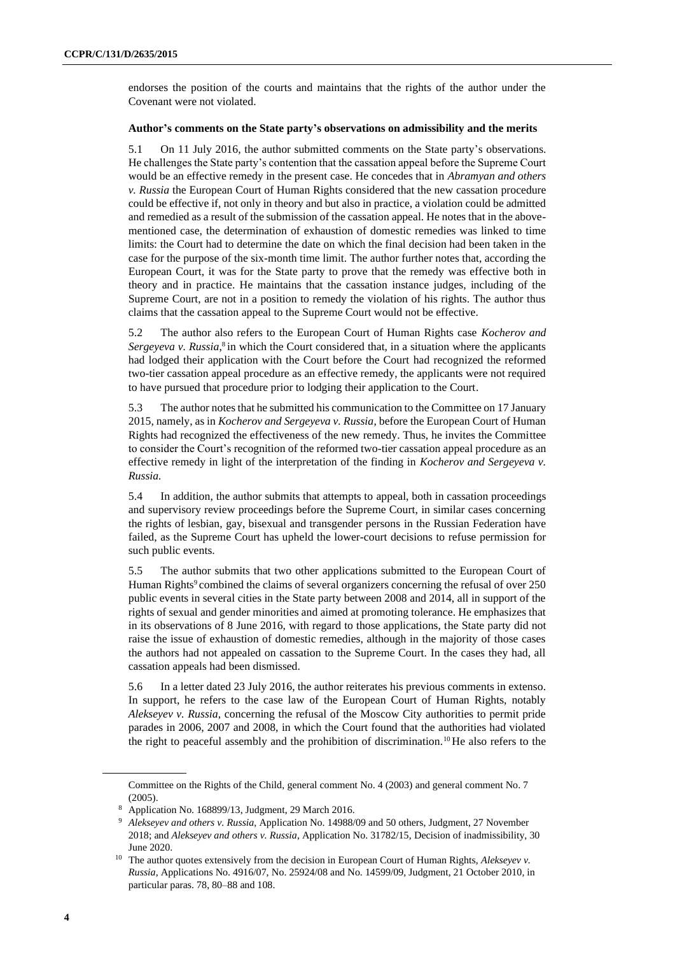endorses the position of the courts and maintains that the rights of the author under the Covenant were not violated.

#### **Author's comments on the State party's observations on admissibility and the merits**

5.1 On 11 July 2016, the author submitted comments on the State party's observations. He challenges the State party's contention that the cassation appeal before the Supreme Court would be an effective remedy in the present case. He concedes that in *Abramyan and others v. Russia* the European Court of Human Rights considered that the new cassation procedure could be effective if, not only in theory and but also in practice, a violation could be admitted and remedied as a result of the submission of the cassation appeal. He notes that in the abovementioned case, the determination of exhaustion of domestic remedies was linked to time limits: the Court had to determine the date on which the final decision had been taken in the case for the purpose of the six-month time limit. The author further notes that, according the European Court, it was for the State party to prove that the remedy was effective both in theory and in practice. He maintains that the cassation instance judges, including of the Supreme Court, are not in a position to remedy the violation of his rights. The author thus claims that the cassation appeal to the Supreme Court would not be effective.

5.2 The author also refers to the European Court of Human Rights case *Kocherov and*  Sergeyeva v. Russia,<sup>8</sup> in which the Court considered that, in a situation where the applicants had lodged their application with the Court before the Court had recognized the reformed two-tier cassation appeal procedure as an effective remedy, the applicants were not required to have pursued that procedure prior to lodging their application to the Court.

5.3 The author notes that he submitted his communication to the Committee on 17 January 2015, namely, as in *Kocherov and Sergeyeva v. Russia*, before the European Court of Human Rights had recognized the effectiveness of the new remedy. Thus, he invites the Committee to consider the Court's recognition of the reformed two-tier cassation appeal procedure as an effective remedy in light of the interpretation of the finding in *Kocherov and Sergeyeva v. Russia.*

5.4 In addition, the author submits that attempts to appeal, both in cassation proceedings and supervisory review proceedings before the Supreme Court, in similar cases concerning the rights of lesbian, gay, bisexual and transgender persons in the Russian Federation have failed, as the Supreme Court has upheld the lower-court decisions to refuse permission for such public events.

5.5 The author submits that two other applications submitted to the European Court of Human Rights<sup>9</sup> combined the claims of several organizers concerning the refusal of over 250 public events in several cities in the State party between 2008 and 2014, all in support of the rights of sexual and gender minorities and aimed at promoting tolerance. He emphasizes that in its observations of 8 June 2016, with regard to those applications, the State party did not raise the issue of exhaustion of domestic remedies, although in the majority of those cases the authors had not appealed on cassation to the Supreme Court. In the cases they had, all cassation appeals had been dismissed.

5.6 In a letter dated 23 July 2016, the author reiterates his previous comments in extenso. In support, he refers to the case law of the European Court of Human Rights, notably *Alekseyev v. Russia*, concerning the refusal of the Moscow City authorities to permit pride parades in 2006, 2007 and 2008, in which the Court found that the authorities had violated the right to peaceful assembly and the prohibition of discrimination.<sup>10</sup> He also refers to the

Committee on the Rights of the Child, general comment No. 4 (2003) and general comment No. 7 (2005).

<sup>8</sup> Application No. 168899/13, Judgment, 29 March 2016.

<sup>9</sup> *Alekseyev and others v. Russia*, Application No. 14988/09 and 50 others, Judgment, 27 November 2018; and *Alekseyev and others v. Russia*, Application No. 31782/15, Decision of inadmissibility, 30 June 2020.

<sup>&</sup>lt;sup>10</sup> The author quotes extensively from the decision in European Court of Human Rights, *Alekseyev v*. *Russia*, Applications No. 4916/07, No. 25924/08 and No. 14599/09, Judgment, 21 October 2010, in particular paras. 78, 80–88 and 108.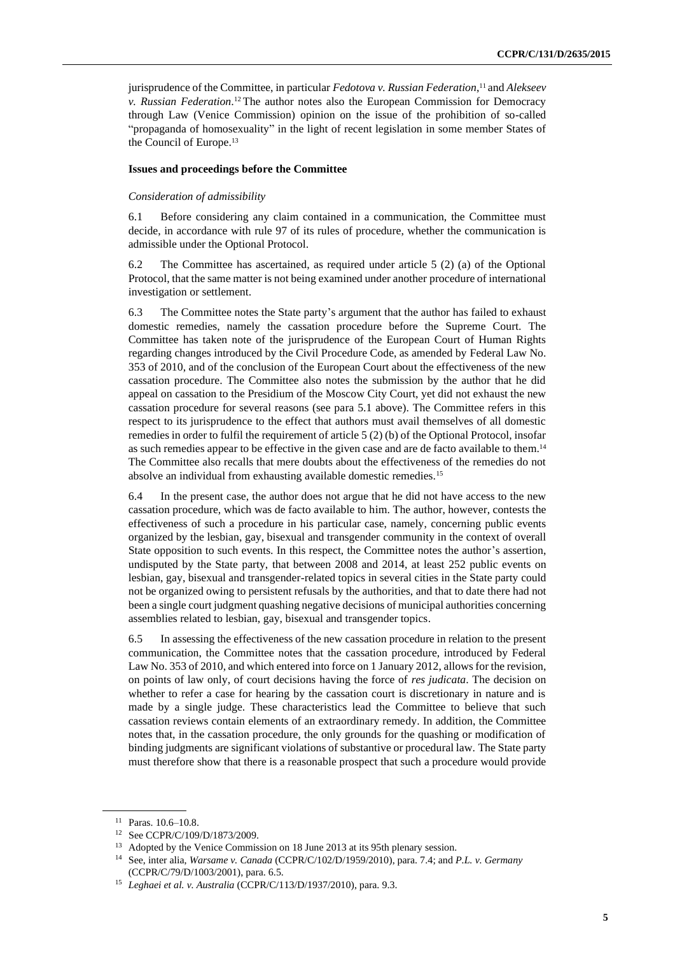jurisprudence of the Committee, in particular *Fedotova v. Russian Federation*, <sup>11</sup> and *Alekseev v. Russian Federation*. <sup>12</sup> The author notes also the European Commission for Democracy through Law (Venice Commission) opinion on the issue of the prohibition of so-called "propaganda of homosexuality" in the light of recent legislation in some member States of the Council of Europe.<sup>13</sup>

#### **Issues and proceedings before the Committee**

#### *Consideration of admissibility*

6.1 Before considering any claim contained in a communication, the Committee must decide, in accordance with rule 97 of its rules of procedure, whether the communication is admissible under the Optional Protocol.

6.2 The Committee has ascertained, as required under article 5 (2) (a) of the Optional Protocol, that the same matter is not being examined under another procedure of international investigation or settlement.

6.3 The Committee notes the State party's argument that the author has failed to exhaust domestic remedies, namely the cassation procedure before the Supreme Court. The Committee has taken note of the jurisprudence of the European Court of Human Rights regarding changes introduced by the Civil Procedure Code, as amended by Federal Law No. 353 of 2010, and of the conclusion of the European Court about the effectiveness of the new cassation procedure. The Committee also notes the submission by the author that he did appeal on cassation to the Presidium of the Moscow City Court, yet did not exhaust the new cassation procedure for several reasons (see para 5.1 above). The Committee refers in this respect to its jurisprudence to the effect that authors must avail themselves of all domestic remedies in order to fulfil the requirement of article 5 (2) (b) of the Optional Protocol, insofar as such remedies appear to be effective in the given case and are de facto available to them.<sup>14</sup> The Committee also recalls that mere doubts about the effectiveness of the remedies do not absolve an individual from exhausting available domestic remedies.<sup>15</sup>

6.4 In the present case, the author does not argue that he did not have access to the new cassation procedure, which was de facto available to him. The author, however, contests the effectiveness of such a procedure in his particular case, namely, concerning public events organized by the lesbian, gay, bisexual and transgender community in the context of overall State opposition to such events. In this respect, the Committee notes the author's assertion, undisputed by the State party, that between 2008 and 2014, at least 252 public events on lesbian, gay, bisexual and transgender-related topics in several cities in the State party could not be organized owing to persistent refusals by the authorities, and that to date there had not been a single court judgment quashing negative decisions of municipal authorities concerning assemblies related to lesbian, gay, bisexual and transgender topics.

6.5 In assessing the effectiveness of the new cassation procedure in relation to the present communication, the Committee notes that the cassation procedure, introduced by Federal Law No. 353 of 2010, and which entered into force on 1 January 2012, allows for the revision, on points of law only, of court decisions having the force of *res judicata*. The decision on whether to refer a case for hearing by the cassation court is discretionary in nature and is made by a single judge. These characteristics lead the Committee to believe that such cassation reviews contain elements of an extraordinary remedy. In addition, the Committee notes that, in the cassation procedure, the only grounds for the quashing or modification of binding judgments are significant violations of substantive or procedural law. The State party must therefore show that there is a reasonable prospect that such a procedure would provide

<sup>11</sup> Paras. 10.6–10.8.

<sup>12</sup> See CCPR/C/109/D/1873/2009.

<sup>&</sup>lt;sup>13</sup> Adopted by the Venice Commission on 18 June 2013 at its 95th plenary session.

<sup>14</sup> See, inter alia, *Warsame v. Canada* (CCPR/C/102/D/1959/2010), para. 7.4; and *P.L. v. Germany* (CCPR/C/79/D/1003/2001), para. 6.5.

<sup>15</sup> *Leghaei et al. v. Australia* (CCPR/C/113/D/1937/2010), para. 9.3.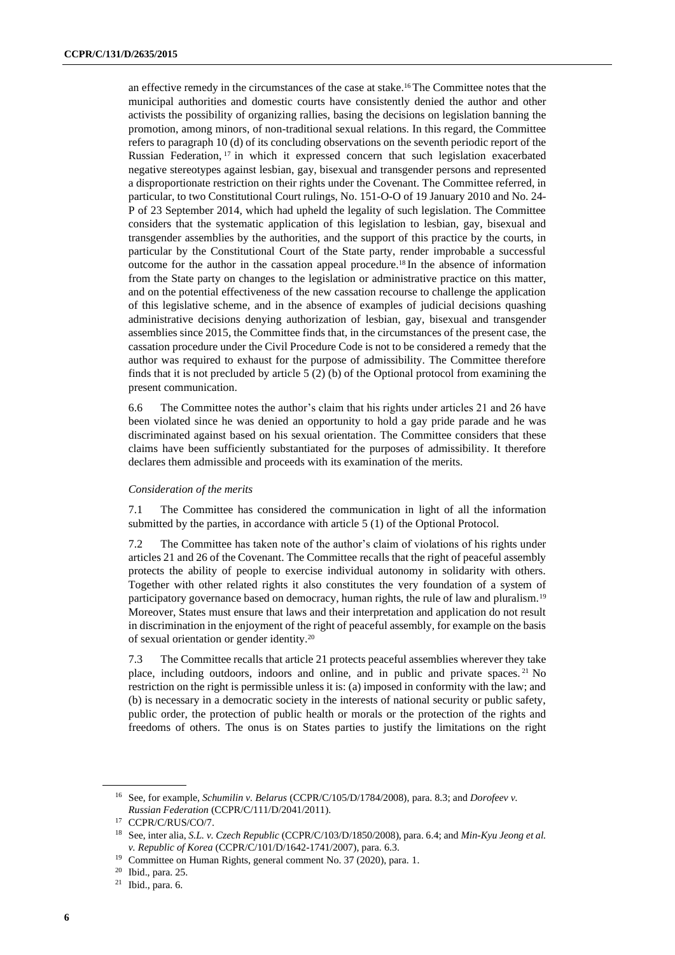an effective remedy in the circumstances of the case at stake. <sup>16</sup> The Committee notes that the municipal authorities and domestic courts have consistently denied the author and other activists the possibility of organizing rallies, basing the decisions on legislation banning the promotion, among minors, of non-traditional sexual relations. In this regard, the Committee refers to paragraph 10 (d) of its concluding observations on the seventh periodic report of the Russian Federation, <sup>17</sup> in which it expressed concern that such legislation exacerbated negative stereotypes against lesbian, gay, bisexual and transgender persons and represented a disproportionate restriction on their rights under the Covenant. The Committee referred, in particular, to two Constitutional Court rulings, No. 151-O-O of 19 January 2010 and No. 24- P of 23 September 2014, which had upheld the legality of such legislation. The Committee considers that the systematic application of this legislation to lesbian, gay, bisexual and transgender assemblies by the authorities, and the support of this practice by the courts, in particular by the Constitutional Court of the State party, render improbable a successful outcome for the author in the cassation appeal procedure.<sup>18</sup> In the absence of information from the State party on changes to the legislation or administrative practice on this matter, and on the potential effectiveness of the new cassation recourse to challenge the application of this legislative scheme, and in the absence of examples of judicial decisions quashing administrative decisions denying authorization of lesbian, gay, bisexual and transgender assemblies since 2015, the Committee finds that, in the circumstances of the present case, the cassation procedure under the Civil Procedure Code is not to be considered a remedy that the author was required to exhaust for the purpose of admissibility. The Committee therefore finds that it is not precluded by article 5 (2) (b) of the Optional protocol from examining the present communication.

6.6 The Committee notes the author's claim that his rights under articles 21 and 26 have been violated since he was denied an opportunity to hold a gay pride parade and he was discriminated against based on his sexual orientation. The Committee considers that these claims have been sufficiently substantiated for the purposes of admissibility. It therefore declares them admissible and proceeds with its examination of the merits.

#### *Consideration of the merits*

7.1 The Committee has considered the communication in light of all the information submitted by the parties, in accordance with article 5 (1) of the Optional Protocol.

7.2 The Committee has taken note of the author's claim of violations of his rights under articles 21 and 26 of the Covenant. The Committee recalls that the right of peaceful assembly protects the ability of people to exercise individual autonomy in solidarity with others. Together with other related rights it also constitutes the very foundation of a system of participatory governance based on democracy, human rights, the rule of law and pluralism.<sup>19</sup> Moreover, States must ensure that laws and their interpretation and application do not result in discrimination in the enjoyment of the right of peaceful assembly, for example on the basis of sexual orientation or gender identity.<sup>20</sup>

7.3 The Committee recalls that article 21 protects peaceful assemblies wherever they take place, including outdoors, indoors and online, and in public and private spaces. <sup>21</sup> No restriction on the right is permissible unless it is: (a) imposed in conformity with the law; and (b) is necessary in a democratic society in the interests of national security or public safety, public order, the protection of public health or morals or the protection of the rights and freedoms of others. The onus is on States parties to justify the limitations on the right

<sup>16</sup> See, for example, *Schumilin v. Belarus* (CCPR/C/105/D/1784/2008), para. 8.3; and *Dorofeev v. Russian Federation* (CCPR/C/111/D/2041/2011).

<sup>17</sup> CCPR/C/RUS/CO/7.

<sup>18</sup> See, inter alia, *S.L. v. Czech Republic* (CCPR/C/103/D/1850/2008), para. 6.4; and *Min-Kyu Jeong et al. v. Republic of Korea* (CCPR/C/101/D/1642-1741/2007), para. 6.3.

<sup>&</sup>lt;sup>19</sup> Committee on Human Rights, general comment No. 37 (2020), para. 1.

<sup>20</sup> Ibid., para. 25.

<sup>21</sup> Ibid., para. 6.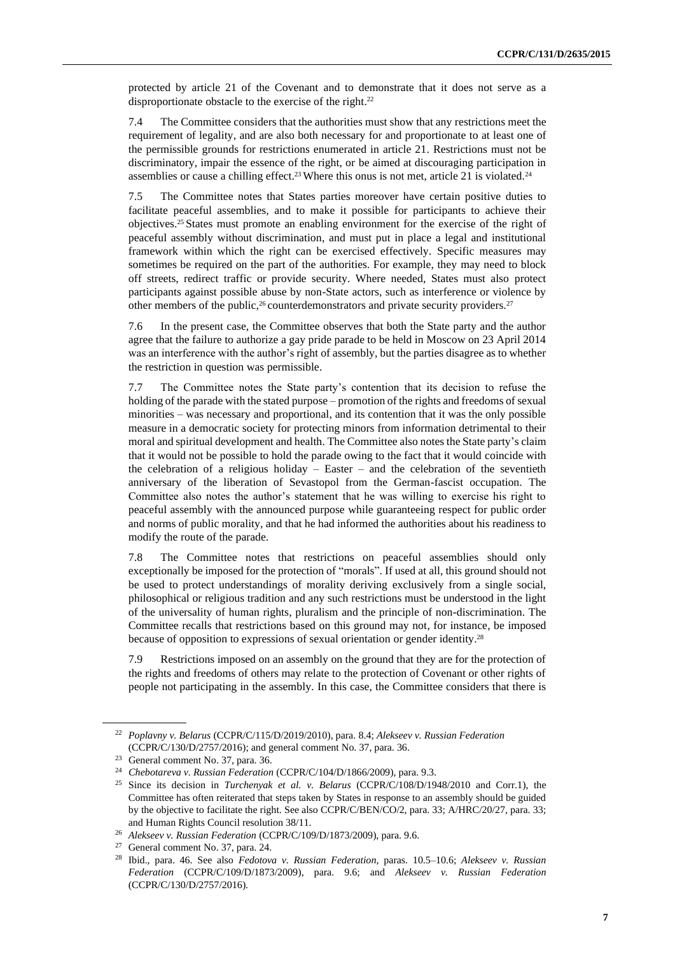protected by article 21 of the Covenant and to demonstrate that it does not serve as a disproportionate obstacle to the exercise of the right.<sup>22</sup>

7.4 The Committee considers that the authorities must show that any restrictions meet the requirement of legality, and are also both necessary for and proportionate to at least one of the permissible grounds for restrictions enumerated in article 21. Restrictions must not be discriminatory, impair the essence of the right, or be aimed at discouraging participation in assemblies or cause a chilling effect.<sup>23</sup> Where this onus is not met, article 21 is violated.<sup>24</sup>

7.5 The Committee notes that States parties moreover have certain positive duties to facilitate peaceful assemblies, and to make it possible for participants to achieve their objectives. <sup>25</sup> States must promote an enabling environment for the exercise of the right of peaceful assembly without discrimination, and must put in place a legal and institutional framework within which the right can be exercised effectively. Specific measures may sometimes be required on the part of the authorities. For example, they may need to block off streets, redirect traffic or provide security. Where needed, States must also protect participants against possible abuse by non-State actors, such as interference or violence by other members of the public,<sup>26</sup> counterdemonstrators and private security providers.<sup>27</sup>

7.6 In the present case, the Committee observes that both the State party and the author agree that the failure to authorize a gay pride parade to be held in Moscow on 23 April 2014 was an interference with the author's right of assembly, but the parties disagree as to whether the restriction in question was permissible.

7.7 The Committee notes the State party's contention that its decision to refuse the holding of the parade with the stated purpose – promotion of the rights and freedoms of sexual minorities – was necessary and proportional, and its contention that it was the only possible measure in a democratic society for protecting minors from information detrimental to their moral and spiritual development and health. The Committee also notes the State party's claim that it would not be possible to hold the parade owing to the fact that it would coincide with the celebration of a religious holiday – Easter – and the celebration of the seventieth anniversary of the liberation of Sevastopol from the German-fascist occupation. The Committee also notes the author's statement that he was willing to exercise his right to peaceful assembly with the announced purpose while guaranteeing respect for public order and norms of public morality, and that he had informed the authorities about his readiness to modify the route of the parade.

7.8 The Committee notes that restrictions on peaceful assemblies should only exceptionally be imposed for the protection of "morals". If used at all, this ground should not be used to protect understandings of morality deriving exclusively from a single social, philosophical or religious tradition and any such restrictions must be understood in the light of the universality of human rights, pluralism and the principle of non-discrimination. The Committee recalls that restrictions based on this ground may not, for instance, be imposed because of opposition to expressions of sexual orientation or gender identity.<sup>28</sup>

7.9 Restrictions imposed on an assembly on the ground that they are for the protection of the rights and freedoms of others may relate to the protection of Covenant or other rights of people not participating in the assembly. In this case, the Committee considers that there is

<sup>22</sup> *Poplavny v. Belarus* (CCPR/C/115/D/2019/2010), para. 8.4; *Alekseev v. Russian Federation* (CCPR/C/130/D/2757/2016); and general comment No. 37, para. 36.

<sup>23</sup> General comment No. 37, para. 36.

<sup>24</sup> *Chebotareva v. Russian Federation* (CCPR/C/104/D/1866/2009), para. 9.3.

<sup>25</sup> Since its decision in *Turchenyak et al. v. Belarus* (CCPR/C/108/D/1948/2010 and Corr.1), the Committee has often reiterated that steps taken by States in response to an assembly should be guided by the objective to facilitate the right. See also CCPR/C/BEN/CO/2, para. 33; A/HRC/20/27, para. 33; and Human Rights Council resolution 38/11.

<sup>26</sup> *Alekseev v. Russian Federation* (CCPR/C/109/D/1873/2009), para. 9.6.

<sup>27</sup> General comment No. 37, para. 24.

<sup>28</sup> Ibid., para. 46. See also *Fedotova v. Russian Federation*, paras. 10.5–10.6; *Alekseev v. Russian Federation* (CCPR/C/109/D/1873/2009), para. 9.6; and *Alekseev v. Russian Federation* (CCPR/C/130/D/2757/2016).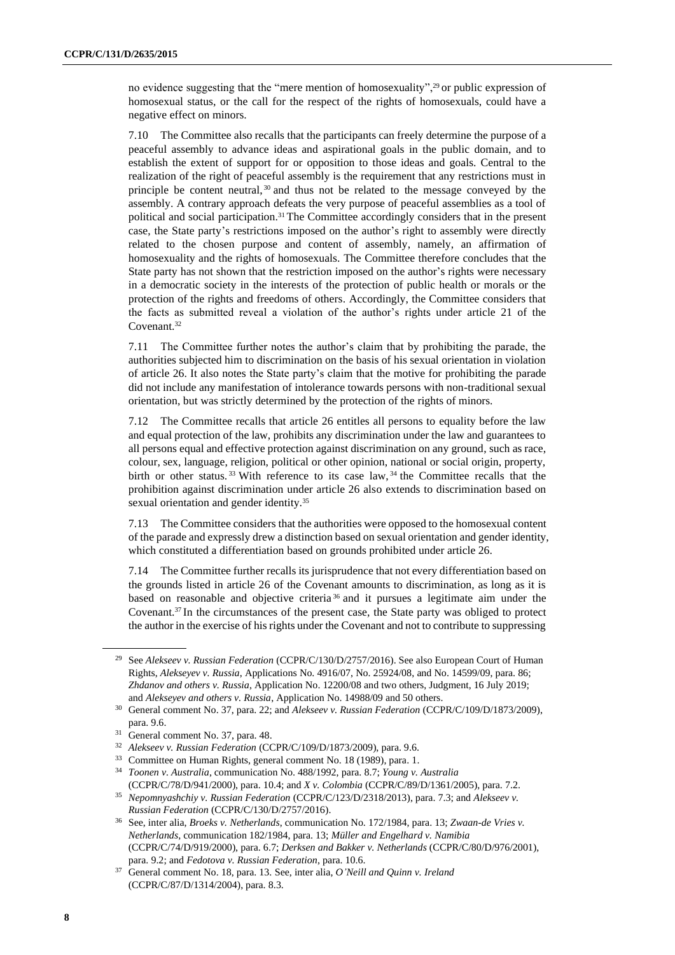no evidence suggesting that the "mere mention of homosexuality",<sup>29</sup> or public expression of homosexual status, or the call for the respect of the rights of homosexuals, could have a negative effect on minors.

7.10 The Committee also recalls that the participants can freely determine the purpose of a peaceful assembly to advance ideas and aspirational goals in the public domain, and to establish the extent of support for or opposition to those ideas and goals. Central to the realization of the right of peaceful assembly is the requirement that any restrictions must in principle be content neutral, <sup>30</sup> and thus not be related to the message conveyed by the assembly. A contrary approach defeats the very purpose of peaceful assemblies as a tool of political and social participation.<sup>31</sup> The Committee accordingly considers that in the present case, the State party's restrictions imposed on the author's right to assembly were directly related to the chosen purpose and content of assembly, namely, an affirmation of homosexuality and the rights of homosexuals. The Committee therefore concludes that the State party has not shown that the restriction imposed on the author's rights were necessary in a democratic society in the interests of the protection of public health or morals or the protection of the rights and freedoms of others. Accordingly, the Committee considers that the facts as submitted reveal a violation of the author's rights under article 21 of the Covenant.<sup>32</sup>

7.11 The Committee further notes the author's claim that by prohibiting the parade, the authorities subjected him to discrimination on the basis of his sexual orientation in violation of article 26. It also notes the State party's claim that the motive for prohibiting the parade did not include any manifestation of intolerance towards persons with non-traditional sexual orientation, but was strictly determined by the protection of the rights of minors.

7.12 The Committee recalls that article 26 entitles all persons to equality before the law and equal protection of the law, prohibits any discrimination under the law and guarantees to all persons equal and effective protection against discrimination on any ground, such as race, colour, sex, language, religion, political or other opinion, national or social origin, property, birth or other status.<sup>33</sup> With reference to its case law,<sup>34</sup> the Committee recalls that the prohibition against discrimination under article 26 also extends to discrimination based on sexual orientation and gender identity.<sup>35</sup>

7.13 The Committee considers that the authorities were opposed to the homosexual content of the parade and expressly drew a distinction based on sexual orientation and gender identity, which constituted a differentiation based on grounds prohibited under article 26.

7.14 The Committee further recalls its jurisprudence that not every differentiation based on the grounds listed in article 26 of the Covenant amounts to discrimination, as long as it is based on reasonable and objective criteria <sup>36</sup> and it pursues a legitimate aim under the Covenant.<sup>37</sup> In the circumstances of the present case, the State party was obliged to protect the author in the exercise of his rights under the Covenant and not to contribute to suppressing

<sup>29</sup> See *Alekseev v. Russian Federation* (CCPR/C/130/D/2757/2016). See also European Court of Human Rights, *Alekseyev v. Russia*, Applications No. 4916/07, No. 25924/08, and No. 14599/09, para. 86; *Zhdanov and others v. Russia*, Application No. 12200/08 and two others, Judgment, 16 July 2019; and *Alekseyev and others v. Russia*, Application No. 14988/09 and 50 others.

<sup>30</sup> General comment No. 37, para. 22; and *Alekseev v. Russian Federation* (CCPR/C/109/D/1873/2009), para. 9.6.

<sup>31</sup> General comment No. 37, para. 48.

<sup>32</sup> *Alekseev v. Russian Federation* (CCPR/C/109/D/1873/2009), para. 9.6.

<sup>&</sup>lt;sup>33</sup> Committee on Human Rights, general comment No. 18 (1989), para. 1.

<sup>34</sup> *Toonen v. Australia*, communication No. 488/1992, para. 8.7; *Young v. Australia* (CCPR/C/78/D/941/2000), para. 10.4; and *X v. Colombia* (CCPR/C/89/D/1361/2005), para. 7.2.

<sup>35</sup> *Nepomnyashchiy v. Russian Federation* (CCPR/C/123/D/2318/2013), para. 7.3; and *Alekseev v. Russian Federation* (CCPR/C/130/D/2757/2016).

<sup>36</sup> See, inter alia, *Broeks v. Netherlands*, communication No. 172/1984, para. 13; *Zwaan-de Vries v. Netherlands*, communication 182/1984, para. 13; *Müller and Engelhard v. Namibia* (CCPR/C/74/D/919/2000), para. 6.7; *Derksen and Bakker v. Netherlands* (CCPR/C/80/D/976/2001), para. 9.2; and *Fedotova v. Russian Federation*, para. 10.6.

<sup>37</sup> General comment No. 18, para. 13. See, inter alia, *O'Neill and Quinn v. Ireland* (CCPR/C/87/D/1314/2004), para. 8.3.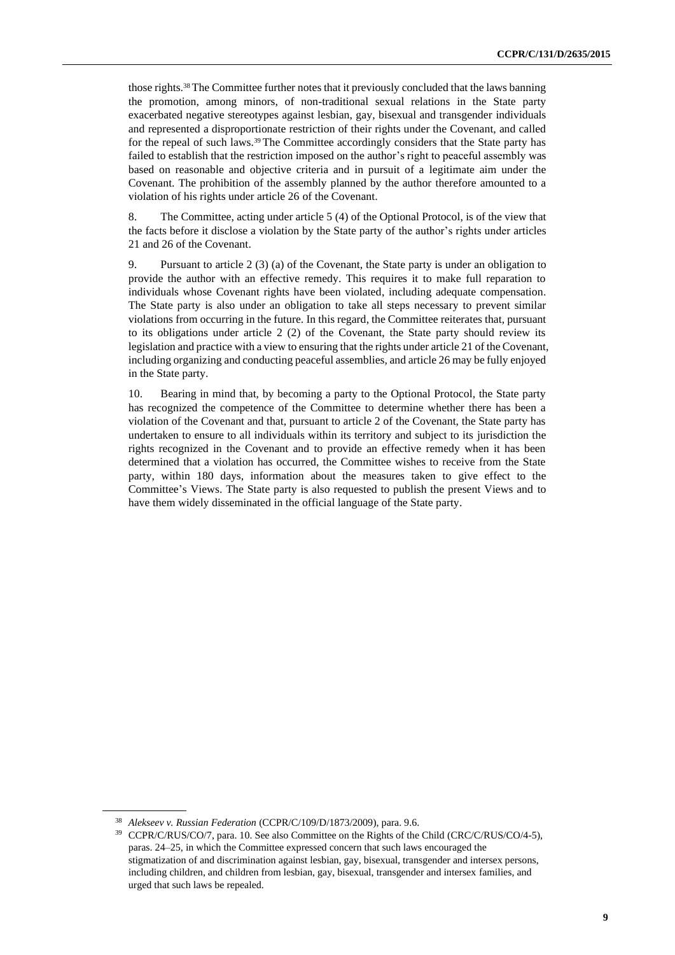those rights.<sup>38</sup> The Committee further notes that it previously concluded that the laws banning the promotion, among minors, of non-traditional sexual relations in the State party exacerbated negative stereotypes against lesbian, gay, bisexual and transgender individuals and represented a disproportionate restriction of their rights under the Covenant, and called for the repeal of such laws.<sup>39</sup> The Committee accordingly considers that the State party has failed to establish that the restriction imposed on the author's right to peaceful assembly was based on reasonable and objective criteria and in pursuit of a legitimate aim under the Covenant. The prohibition of the assembly planned by the author therefore amounted to a violation of his rights under article 26 of the Covenant.

8. The Committee, acting under article 5 (4) of the Optional Protocol, is of the view that the facts before it disclose a violation by the State party of the author's rights under articles 21 and 26 of the Covenant.

9. Pursuant to article 2 (3) (a) of the Covenant, the State party is under an obligation to provide the author with an effective remedy. This requires it to make full reparation to individuals whose Covenant rights have been violated, including adequate compensation. The State party is also under an obligation to take all steps necessary to prevent similar violations from occurring in the future. In this regard, the Committee reiterates that, pursuant to its obligations under article 2 (2) of the Covenant, the State party should review its legislation and practice with a view to ensuring that the rights under article 21 of the Covenant, including organizing and conducting peaceful assemblies, and article 26 may be fully enjoyed in the State party.

10. Bearing in mind that, by becoming a party to the Optional Protocol, the State party has recognized the competence of the Committee to determine whether there has been a violation of the Covenant and that, pursuant to article 2 of the Covenant, the State party has undertaken to ensure to all individuals within its territory and subject to its jurisdiction the rights recognized in the Covenant and to provide an effective remedy when it has been determined that a violation has occurred, the Committee wishes to receive from the State party, within 180 days, information about the measures taken to give effect to the Committee's Views. The State party is also requested to publish the present Views and to have them widely disseminated in the official language of the State party.

<sup>38</sup> *Alekseev v. Russian Federation* (CCPR/C/109/D/1873/2009), para. 9.6.

<sup>39</sup> CCPR/C/RUS/CO/7, para. 10. See also Committee on the Rights of the Child (CRC/C/RUS/CO/4-5), paras. 24–25, in which the Committee expressed concern that such laws encouraged the stigmatization of and discrimination against lesbian, gay, bisexual, transgender and intersex persons, including children, and children from lesbian, gay, bisexual, transgender and intersex families, and urged that such laws be repealed.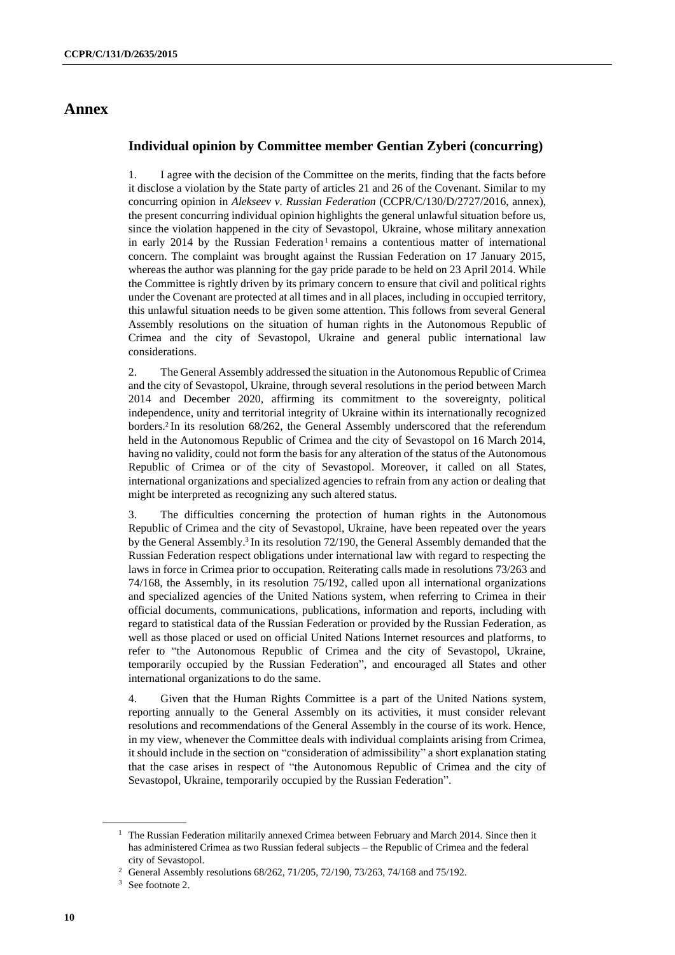## **Annex**

## **Individual opinion by Committee member Gentian Zyberi (concurring)**

1. I agree with the decision of the Committee on the merits, finding that the facts before it disclose a violation by the State party of articles 21 and 26 of the Covenant. Similar to my concurring opinion in *Alekseev v. Russian Federation* (CCPR/C/130/D/2727/2016, annex), the present concurring individual opinion highlights the general unlawful situation before us, since the violation happened in the city of Sevastopol, Ukraine, whose military annexation in early 2014 by the Russian Federation<sup>1</sup> remains a contentious matter of international concern. The complaint was brought against the Russian Federation on 17 January 2015, whereas the author was planning for the gay pride parade to be held on 23 April 2014. While the Committee is rightly driven by its primary concern to ensure that civil and political rights under the Covenant are protected at all times and in all places, including in occupied territory, this unlawful situation needs to be given some attention. This follows from several General Assembly resolutions on the situation of human rights in the Autonomous Republic of Crimea and the city of Sevastopol, Ukraine and general public international law considerations.

2. The General Assembly addressed the situation in the Autonomous Republic of Crimea and the city of Sevastopol, Ukraine, through several resolutions in the period between March 2014 and December 2020, affirming its commitment to the sovereignty, political independence, unity and territorial integrity of Ukraine within its internationally recognized borders.<sup>2</sup> In its resolution 68/262, the General Assembly underscored that the referendum held in the Autonomous Republic of Crimea and the city of Sevastopol on 16 March 2014, having no validity, could not form the basis for any alteration of the status of the Autonomous Republic of Crimea or of the city of Sevastopol. Moreover, it called on all States, international organizations and specialized agencies to refrain from any action or dealing that might be interpreted as recognizing any such altered status.

3. The difficulties concerning the protection of human rights in the Autonomous Republic of Crimea and the city of Sevastopol, Ukraine, have been repeated over the years by the General Assembly.<sup>3</sup> In its resolution 72/190, the General Assembly demanded that the Russian Federation respect obligations under international law with regard to respecting the laws in force in Crimea prior to occupation. Reiterating calls made in resolutions 73/263 and 74/168, the Assembly, in its resolution 75/192, called upon all international organizations and specialized agencies of the United Nations system, when referring to Crimea in their official documents, communications, publications, information and reports, including with regard to statistical data of the Russian Federation or provided by the Russian Federation, as well as those placed or used on official United Nations Internet resources and platforms, to refer to "the Autonomous Republic of Crimea and the city of Sevastopol, Ukraine, temporarily occupied by the Russian Federation", and encouraged all States and other international organizations to do the same.

4. Given that the Human Rights Committee is a part of the United Nations system, reporting annually to the General Assembly on its activities, it must consider relevant resolutions and recommendations of the General Assembly in the course of its work. Hence, in my view, whenever the Committee deals with individual complaints arising from Crimea, it should include in the section on "consideration of admissibility" a short explanation stating that the case arises in respect of "the Autonomous Republic of Crimea and the city of Sevastopol, Ukraine, temporarily occupied by the Russian Federation".

<sup>&</sup>lt;sup>1</sup> The Russian Federation militarily annexed Crimea between February and March 2014. Since then it has administered Crimea as two Russian federal subjects – the Republic of Crimea and the federal city of Sevastopol.

<sup>2</sup> General Assembly resolutions 68/262, 71/205, 72/190, 73/263, 74/168 and 75/192.

<sup>&</sup>lt;sup>3</sup> See footnote 2.